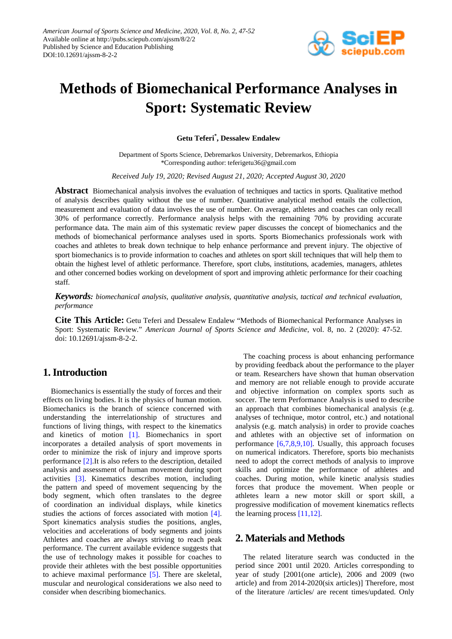

# **Methods of Biomechanical Performance Analyses in Sport: Systematic Review**

**Getu Teferi\* , Dessalew Endalew**

Department of Sports Science, Debremarkos University, Debremarkos, Ethiopia \*Corresponding author: teferigetu36@gmail.com

*Received July 19, 2020; Revised August 21, 2020; Accepted August 30, 2020*

**Abstract** Biomechanical analysis involves the evaluation of techniques and tactics in sports. Qualitative method of analysis describes quality without the use of number. Quantitative analytical method entails the collection, measurement and evaluation of data involves the use of number. On average, athletes and coaches can only recall 30% of performance correctly. Performance analysis helps with the remaining 70% by providing accurate performance data. The main aim of this systematic review paper discusses the concept of biomechanics and the methods of biomechanical performance analyses used in sports. Sports Biomechanics professionals work with coaches and athletes to break down technique to help enhance performance and prevent injury. The objective of sport biomechanics is to provide information to coaches and athletes on sport skill techniques that will help them to obtain the highest level of athletic performance. Therefore, sport clubs, institutions, academies, managers, athletes and other concerned bodies working on development of sport and improving athletic performance for their coaching staff.

*Keywords: biomechanical analysis, qualitative analysis, quantitative analysis, tactical and technical evaluation, performance*

**Cite This Article:** Getu Teferi and Dessalew Endalew "Methods of Biomechanical Performance Analyses in Sport: Systematic Review." *American Journal of Sports Science and Medicine*, vol. 8, no. 2 (2020): 47-52. doi: 10.12691/ajssm-8-2-2.

# **1. Introduction**

Biomechanics is essentially the study of forces and their effects on living bodies. It is the physics of human motion. Biomechanics is the branch of science concerned with understanding the interrelationship of structures and functions of living things, with respect to the kinematics and kinetics of motion [\[1\].](#page-4-0) Biomechanics in sport incorporates a detailed analysis of sport movements in order to minimize the risk of injury and improve sports performance [\[2\].I](#page-4-1)t is also refers to the description, detailed analysis and assessment of human movement during sport activities [\[3\].](#page-4-2) Kinematics describes motion, including the pattern and speed of movement sequencing by the body segment, which often translates to the degree of coordination an individual displays, while kinetics studies the actions of forces associated with motion [\[4\].](#page-4-3) Sport kinematics analysis studies the positions, angles, velocities and accelerations of body segments and joints Athletes and coaches are always striving to reach peak performance. The current available evidence suggests that the use of technology makes it possible for coaches to provide their athletes with the best possible opportunities to achieve maximal performance [\[5\].](#page-4-4) There are skeletal, muscular and neurological considerations we also need to consider when describing biomechanics.

The coaching process is about enhancing performance by providing feedback about the performance to the player or team. Researchers have shown that human observation and memory are not reliable enough to provide accurate and objective information on complex sports such as soccer. The term Performance Analysis is used to describe an approach that combines biomechanical analysis (e.g. analyses of technique, motor control, etc.) and notational analysis (e.g. match analysis) in order to provide coaches and athletes with an objective set of information on performance [\[6,7,8,9,10\].](#page-4-5) Usually, this approach focuses on numerical indicators. Therefore, sports bio mechanists need to adopt the correct methods of analysis to improve skills and optimize the performance of athletes and coaches. During motion, while kinetic analysis studies forces that produce the movement. When people or athletes learn a new motor skill or sport skill, a progressive modification of movement kinematics reflects the learning proces[s \[11,12\].](#page-4-6)

# **2. Materials and Methods**

The related literature search was conducted in the period since 2001 until 2020. Articles corresponding to year of study [2001(one article), 2006 and 2009 (two article) and from 2014-2020(six articles)] Therefore, most of the literature /articles/ are recent times/updated. Only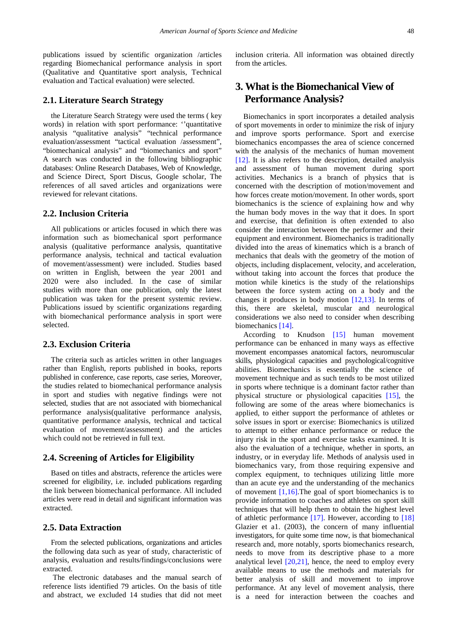publications issued by scientific organization /articles regarding Biomechanical performance analysis in sport (Qualitative and Quantitative sport analysis, Technical evaluation and Tactical evaluation) were selected.

### **2.1. Literature Search Strategy**

the Literature Search Strategy were used the terms ( key words) in relation with sport performance: ''quantitative analysis "qualitative analysis" "technical performance evaluation/assessment "tactical evaluation /assessment", "biomechanical analysis" and "biomechanics and sport" A search was conducted in the following bibliographic databases: Online Research Databases, Web of Knowledge, and Science Direct, Sport Discus, Google scholar, The references of all saved articles and organizations were reviewed for relevant citations.

### **2.2. Inclusion Criteria**

All publications or articles focused in which there was information such as biomechanical sport performance analysis (qualitative performance analysis, quantitative performance analysis, technical and tactical evaluation of movement/assessment) were included. Studies based on written in English, between the year 2001 and 2020 were also included. In the case of similar studies with more than one publication, only the latest publication was taken for the present systemic review. Publications issued by scientific organizations regarding with biomechanical performance analysis in sport were selected.

### **2.3. Exclusion Criteria**

The criteria such as articles written in other languages rather than English, reports published in books, reports published in conference, case reports, case series, Moreover, the studies related to biomechanical performance analysis in sport and studies with negative findings were not selected, studies that are not associated with biomechanical performance analysis(qualitative performance analysis, quantitative performance analysis, technical and tactical evaluation of movement/assessment) and the articles which could not be retrieved in full text.

### **2.4. Screening of Articles for Eligibility**

Based on titles and abstracts, reference the articles were screened for eligibility, i.e. included publications regarding the link between biomechanical performance. All included articles were read in detail and significant information was extracted.

### **2.5. Data Extraction**

From the selected publications, organizations and articles the following data such as year of study, characteristic of analysis, evaluation and results/findings/conclusions were extracted.

The electronic databases and the manual search of reference lists identified 79 articles. On the basis of title and abstract, we excluded 14 studies that did not meet inclusion criteria. All information was obtained directly from the articles.

# **3. What is the Biomechanical View of Performance Analysis?**

Biomechanics in sport incorporates a detailed analysis of sport movements in order to minimize the risk of injury and improve sports performance. Sport and exercise biomechanics encompasses the area of science concerned with the analysis of the mechanics of human movement [\[12\].](#page-4-7) It is also refers to the description, detailed analysis and assessment of human movement during sport activities. Mechanics is a branch of physics that is concerned with the description of motion/movement and how forces create motion/movement. In other words, sport biomechanics is the science of explaining how and why the human body moves in the way that it does. In sport and exercise, that definition is often extended to also consider the interaction between the performer and their equipment and environment. Biomechanics is traditionally divided into the areas of kinematics which is a branch of mechanics that deals with the geometry of the motion of objects, including displacement, velocity, and acceleration, without taking into account the forces that produce the motion while kinetics is the study of the relationships between the force system acting on a body and the changes it produces in body motion [\[12,13\].](#page-4-7) In terms of this, there are skeletal, muscular and neurological considerations we also need to consider when describing biomechanics [\[14\].](#page-4-8)

According to Knudson [\[15\]](#page-4-9) human movement performance can be enhanced in many ways as effective movement encompasses anatomical factors, neuromuscular skills, physiological capacities and psychological/cognitive abilities. Biomechanics is essentially the science of movement technique and as such tends to be most utilized in sports where technique is a dominant factor rather than physical structure or physiological capacities [\[15\],](#page-4-9) the following are some of the areas where biomechanics is applied, to either support the performance of athletes or solve issues in sport or exercise: Biomechanics is utilized to attempt to either enhance performance or reduce the injury risk in the sport and exercise tasks examined. It is also the evaluation of a technique, whether in sports, an industry, or in everyday life. Methods of analysis used in biomechanics vary, from those requiring expensive and complex equipment, to techniques utilizing little more than an acute eye and the understanding of the mechanics of movement  $[1,16]$ . The goal of sport biomechanics is to provide information to coaches and athletes on sport skill techniques that will help them to obtain the highest level of athletic performance [\[17\].](#page-4-10) However, according to [\[18\]](#page-4-11) Glazier et a1. (2003), the concern of many influential investigators, for quite some time now, is that biomechanical research and, more notably, sports biomechanics research, needs to move from its descriptive phase to a more analytical level [\[20,21\],](#page-4-12) hence, the need to employ every available means to use the methods and materials for better analysis of skill and movement to improve performance. At any level of movement analysis, there is a need for interaction between the coaches and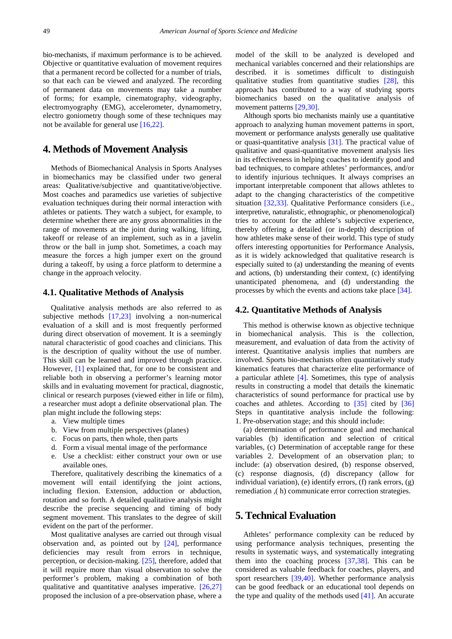bio-mechanists, if maximum performance is to be achieved. Objective or quantitative evaluation of movement requires that a permanent record be collected for a number of trials, so that each can be viewed and analyzed. The recording of permanent data on movements may take a number of forms; for example, cinematography, videography, electromyography (EMG), accelerometer, dynamometry, electro goniometry though some of these techniques may not be available for general use [\[16,22\].](#page-4-13)

## **4. Methods of Movement Analysis**

Methods of Biomechanical Analysis in Sports Analyses in biomechanics may be classified under two general areas: Qualitative/subjective and quantitative/objective. Most coaches and paramedics use varieties of subjective evaluation techniques during their normal interaction with athletes or patients. They watch a subject, for example, to determine whether there are any gross abnormalities in the range of movements at the joint during walking, lifting, takeoff or release of an implement, such as in a javelin throw or the ball in jump shot. Sometimes, a coach may measure the forces a high jumper exert on the ground during a takeoff, by using a force platform to determine a change in the approach velocity.

#### **4.1. Qualitative Methods of Analysis**

Qualitative analysis methods are also referred to as subjective methods [\[17,23\]](#page-4-10) involving a non-numerical evaluation of a skill and is most frequently performed during direct observation of movement. It is a seemingly natural characteristic of good coaches and clinicians. This is the description of quality without the use of number. This skill can be learned and improved through practice. However, [\[1\]](#page-4-0) explained that, for one to be consistent and reliable both in observing a performer's learning motor skills and in evaluating movement for practical, diagnostic, clinical or research purposes (viewed either in life or film), a researcher must adopt a definite observational plan. The plan might include the following steps:

- a. View multiple times
- b. View from multiple perspectives (planes)
- c. Focus on parts, then whole, then parts
- d. Form a visual mental image of the performance
- e. Use a checklist: either construct your own or use available ones.

Therefore, qualitatively describing the kinematics of a movement will entail identifying the joint actions, including flexion. Extension, adduction or abduction, rotation and so forth. A detailed qualitative analysis might describe the precise sequencing and timing of body segment movement. This translates to the degree of skill evident on the part of the performer.

Most qualitative analyses are carried out through visual observation and, as pointed out by [\[24\],](#page-4-14) performance deficiencies may result from errors in technique, perception, or decision-making. [\[25\],](#page-4-15) therefore, added that it will require more than visual observation to solve the performer's problem, making a combination of both qualitative and quantitative analyses imperative. [\[26,27\]](#page-4-16) proposed the inclusion of a pre-observation phase, where a

model of the skill to be analyzed is developed and mechanical variables concerned and their relationships are described. it is sometimes difficult to distinguish qualitative studies from quantitative studies [\[28\],](#page-4-17) this approach has contributed to a way of studying sports biomechanics based on the qualitative analysis of movement patterns [\[29,30\].](#page-4-18)

Although sports bio mechanists mainly use a quantitative approach to analyzing human movement patterns in sport, movement or performance analysts generally use qualitative or quasi-quantitative analysis [\[31\].](#page-4-19) The practical value of qualitative and quasi-quantitative movement analysis lies in its effectiveness in helping coaches to identify good and bad techniques, to compare athletes' performances, and/or to identify injurious techniques. It always comprises an important interpretable component that allows athletes to adapt to the changing characteristics of the competitive situation [\[32,33\].](#page-4-20) Qualitative Performance considers (i.e., interpretive, naturalistic, ethnographic, or phenomenological) tries to account for the athlete's subjective experience, thereby offering a detailed (or in-depth) description of how athletes make sense of their world. This type of study offers interesting opportunities for Performance Analysis, as it is widely acknowledged that qualitative research is especially suited to (a) understanding the meaning of events and actions, (b) understanding their context, (c) identifying unanticipated phenomena, and (d) understanding the processes by which the events and actions take plac[e \[34\].](#page-4-21)

### **4.2. Quantitative Methods of Analysis**

This method is otherwise known as objective technique in biomechanical analysis. This is the collection, measurement, and evaluation of data from the activity of interest. Quantitative analysis implies that numbers are involved. Sports bio-mechanists often quantitatively study kinematics features that characterize elite performance of a particular athlete [\[4\].](#page-4-3) Sometimes, this type of analysis results in constructing a model that details the kinematic characteristics of sound performance for practical use by coaches and athletes. According to [\[35\]](#page-4-22) cited by [\[36\]](#page-4-23) Steps in quantitative analysis include the following: 1. Pre-observation stage; and this should include:

(a) determination of performance goal and mechanical variables (b) identification and selection of critical variables, (c) Determination of acceptable range for these variables 2. Development of an observation plan; to include: (a) observation desired, (b) response observed, (c) response diagnosis, (d) discrepancy (allow for individual variation), (e) identify errors, (f) rank errors, (g) remediation ,( h) communicate error correction strategies.

# **5. Technical Evaluation**

Athletes' performance complexity can be reduced by using performance analysis techniques, presenting the results in systematic ways, and systematically integrating them into the coaching process [\[37,38\].](#page-4-24) This can be considered as valuable feedback for coaches, players, and sport researchers [\[39,40\].](#page-4-25) Whether performance analysis can be good feedback or an educational tool depends on the type and quality of the methods used  $[41]$ . An accurate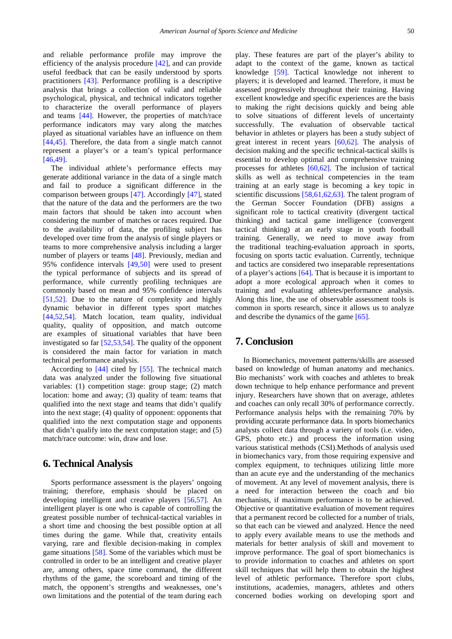and reliable performance profile may improve the efficiency of the analysis procedure [\[42\],](#page-4-27) and can provide useful feedback that can be easily understood by sports practitioners [\[43\].](#page-4-28) Performance profiling is a descriptive analysis that brings a collection of valid and reliable psychological, physical, and technical indicators together to characterize the overall performance of players and teams [\[44\].](#page-4-29) However, the properties of match/race performance indicators may vary along the matches played as situational variables have an influence on them [\[44,45\].](#page-4-29) Therefore, the data from a single match cannot represent a player's or a team's typical performance [\[46,49\].](#page-4-30)

The individual athlete's performance effects may generate additional variance in the data of a single match and fail to produce a significant difference in the comparison between groups [\[47\].](#page-4-31) Accordingly [\[47\],](#page-4-31) stated that the nature of the data and the performers are the two main factors that should be taken into account when considering the number of matches or races required. Due to the availability of data, the profiling subject has developed over time from the analysis of single players or teams to more comprehensive analysis including a larger number of players or teams [\[48\].](#page-4-32) Previously, median and 95% confidence intervals [\[49,50\]](#page-5-0) were used to present the typical performance of subjects and its spread of performance, while currently profiling techniques are commonly based on mean and 95% confidence intervals [\[51,52\].](#page-5-1) Due to the nature of complexity and highly dynamic behavior in different types sport matches [\[44,52,54\].](#page-4-29) Match location, team quality, individual quality, quality of opposition, and match outcome are examples of situational variables that have been investigated so far [\[52,53,54\].](#page-5-2) The quality of the opponent is considered the main factor for variation in match technical performance analysis.

According to [\[44\]](#page-4-29) cited by [\[55\].](#page-5-3) The technical match data was analyzed under the following five situational variables: (1) competition stage: group stage; (2) match location: home and away; (3) quality of team: teams that qualified into the next stage and teams that didn't qualify into the next stage; (4) quality of opponent: opponents that qualified into the next computation stage and opponents that didn't qualify into the next computation stage; and (5) match/race outcome: win, draw and lose.

### **6. Technical Analysis**

Sports performance assessment is the players' ongoing training; therefore, emphasis should be placed on developing intelligent and creative players [\[56,57\].](#page-5-4) An intelligent player is one who is capable of controlling the greatest possible number of technical-tactical variables in a short time and choosing the best possible option at all times during the game. While that, creativity entails varying, rare and flexible decision-making in complex game situations [\[58\].](#page-5-5) Some of the variables which must be controlled in order to be an intelligent and creative player are, among others, space time command, the different rhythms of the game, the scoreboard and timing of the match, the opponent's strengths and weaknesses, one's own limitations and the potential of the team during each

play. These features are part of the player's ability to adapt to the context of the game, known as tactical knowledge [\[59\].](#page-5-6) Tactical knowledge not inherent to players; it is developed and learned. Therefore, it must be assessed progressively throughout their training. Having excellent knowledge and specific experiences are the basis to making the right decisions quickly and being able to solve situations of different levels of uncertainty successfully. The evaluation of observable tactical behavior in athletes or players has been a study subject of great interest in recent years [\[60,62\].](#page-5-7) The analysis of decision making and the specific technical-tactical skills is essential to develop optimal and comprehensive training processes for athletes [\[60,62\].](#page-5-7) The inclusion of tactical skills as well as technical competencies in the team training at an early stage is becoming a key topic in scientific discussions [\[58,61,62,63\].](#page-5-5) The talent program of the German Soccer Foundation (DFB) assigns a significant role to tactical creativity (divergent tactical thinking) and tactical game intelligence (convergent tactical thinking) at an early stage in youth football training. Generally, we need to move away from the traditional teaching-evaluation approach in sports, focusing on sports tactic evaluation. Currently, technique and tactics are considered two inseparable representations of a player's actions [\[64\].](#page-5-8) That is because it is important to adopt a more ecological approach when it comes to training and evaluating athletes/performance analysis. Along this line, the use of observable assessment tools is common in sports research, since it allows us to analyze and describe the dynamics of the game [\[65\].](#page-5-9)

# **7. Conclusion**

In Biomechanics, movement patterns/skills are assessed based on knowledge of human anatomy and mechanics. Bio mechanists' work with coaches and athletes to break down technique to help enhance performance and prevent injury. Researchers have shown that on average, athletes and coaches can only recall 30% of performance correctly. Performance analysis helps with the remaining 70% by providing accurate performance data. In sports biomechanics analysts collect data through a variety of tools (i.e. video, GPS, photo etc.) and process the information using various statistical methods (CSI).Methods of analysis used in biomechanics vary, from those requiring expensive and complex equipment, to techniques utilizing little more than an acute eye and the understanding of the mechanics of movement. At any level of movement analysis, there is a need for interaction between the coach and bio mechanists, if maximum performance is to be achieved. Objective or quantitative evaluation of movement requires that a permanent record be collected for a number of trials, so that each can be viewed and analyzed. Hence the need to apply every available means to use the methods and materials for better analysis of skill and movement to improve performance. The goal of sport biomechanics is to provide information to coaches and athletes on sport skill techniques that will help them to obtain the highest level of athletic performance**.** Therefore sport clubs, institutions, academies, managers, athletes and others concerned bodies working on developing sport and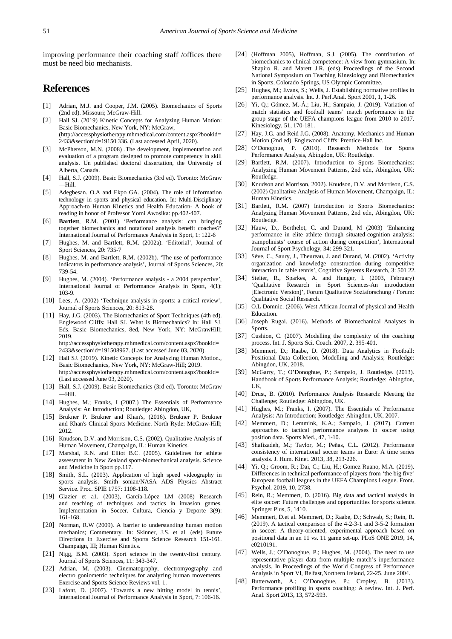improving performance their coaching staff /offices there must be need bio mechanists.

# **References**

- <span id="page-4-0"></span>[1] Adrian, M.J. and Cooper, J.M. (2005). Biomechanics of Sports (2nd ed). Missouri; McGraw-Hill.
- <span id="page-4-1"></span>[2] Hall SJ. (2019) Kinetic Concepts for Analyzing Human Motion: Basic Biomechanics, New York, NY: McGraw, (http://accessphysiotherapy.mhmedical.com/content.aspx?bookid= 2433&sectionid=19150 336. (Last accessed April, 2020).
- <span id="page-4-2"></span>[3] McPherson, M.N. (2008) .The development, implementation and evaluation of a program designed to promote competency in skill analysis. Un published doctoral dissertation, the University of Alberta, Canada.
- <span id="page-4-3"></span>[4] Hall, S.J. (2009). Basic Biomechanics (3rd ed). Toronto: McGraw —Hill.
- <span id="page-4-4"></span>[5] Adegbesan. O.A and Ekpo GA. (2004). The role of information technology in sports and physical education. In: Multi-Disciplinary Approach-to Human Kinetics and Health Education- A book of reading in honor of Professor Yomi Awosika: pp.402-407.
- <span id="page-4-5"></span>[6] **Bartlett**, R.M. (2001) 'Performance analysis: can bringing together biomechanics and notational analysis benefit coaches?' International Journal of Performance Analysis in Sport, 1: 122-6
- [7] Hughes, M. and Bartlett, R.M. (2002a). 'Editorial', Journal of Sport Sciences, 20: 735-7
- [8] Hughes, M. and Bartlett, R.M. (2002b). 'The use of performance indicators in performance analysis', Journal of Sports Sciences, 20: 739-54.
- [9] Hughes, M. (2004). 'Performance analysis a 2004 perspective', International Journal of Performance Analysis in Sport, 4(1): 103-9.
- [10] Lees, A. (2002) 'Technique analysis in sports: a critical review', Journal of Sports Sciences, 20: 813-28.
- <span id="page-4-6"></span>[11] Hay, J.G. (2003). The Biomechanics of Sport Techniques (4th ed). Englewood Cliffs: Hall SJ. What Is Biomechanics? In: Hall SJ. Eds. Basic Biomechanics, 8ed, New York, NY: McGrawHill; 2019. http://accessphysiotherapy.mhmedical.com/content.aspx?bookid=

2433&sectionid=191508967. (Last accessed June 03, 2020).

- <span id="page-4-7"></span>[12] Hall SJ. (2019). Kinetic Concepts for Analyzing Human Motion., Basic Biomechanics, New York, NY: McGraw-Hill; 2019. http://accessphysiotherapy.mhmedical.com/content.aspx?bookid= (Last accessed June 03, 2020).
- [13] Hall, S.J. (2009). Basic Biomechanics (3rd ed). Toronto: McGraw —Hill.
- <span id="page-4-8"></span>[14] Hughes, M.; Franks, I (2007.) The Essentials of Performance Analysis: An Introduction; Routledge: Abingdon, UK,
- <span id="page-4-9"></span>[15] Brukner P. Brukner and Khan's, (2016). Brukner P. Brukner and Khan's Clinical Sports Medicine. North Ryde: McGraw-Hill; 2012.
- <span id="page-4-13"></span>[16] Knudson, D.V. and Morrison, C.S. (2002). Qualitative Analysis of Human Movement, Champaign, IL: Human Kinetics.
- <span id="page-4-10"></span>[17] Marshal, R.N. and Elliot B.C. (2005). Guidelines for athlete assessment in New Zealand sport-biomechanical analysis. Science and Medicine in Sport pp.117.
- <span id="page-4-11"></span>[18] Smith, S.L. (2003). Application of high speed videography in sports analysis. Smith sonian/NASA ADS Physics Abstract Service. Proc. SPIE 1757: 1108-118.
- [19] Glazier et a1. (2003), García-López LM (2008) Research and teaching of techniques and tactics in invasion games. Implementation in Soccer. Cultura, Ciencia y Deporte 3(9): 161-168.
- <span id="page-4-12"></span>[20] Norman, R.W (2009). A barrier to understanding human motion mechanics; Commentary. In: Skinner, J.S. et al. (eds) Future Directions in Exercise and Sports Science Research 151-161. Champaign, III; Human Kinetics.
- [21] Nigg, B.M. (2003). Sport science in the twenty-first century. Journal of Sports Sciences, 11: 343-347.
- [22] Adrian, M. (2003). Cinematography, electromyography and electro goniometric techniques for analyzing human movements. Exercise and Sports Science Reviews vol. 1.
- [23] Lafont, D. (2007). 'Towards a new hitting model in tennis', International Journal of Performance Analysis in Sport, 7: 106-16.
- <span id="page-4-14"></span>[24] (Hoffman 2005), Hoffman, S.J. (2005). The contribution of biomechanics to clinical competence: A view from gymnasium. In: Shapiro R. and Marett J.R. (eds) Proceedings of the Second National Symposium on Teaching Kinesiology and Biomechanics in Sports, Colorado Springs, US Olympic Committee.
- <span id="page-4-15"></span>[25] Hughes, M.; Evans, S.; Wells, J. Establishing normative profiles in performance analysis. Int. J. Perf.Anal. Sport 2001, 1, 1-26.
- <span id="page-4-16"></span>[26] Yi, Q.; Gómez, M.-Á.; Liu, H.; Sampaio, J. (2019). Variation of match statistics and football teams' match performance in the group stage of the UEFA champions league from 2010 to 2017. Kinesiology, 51, 170-181.
- [27] Hay, J.G. and Reid J.G. (2008). Anatomy, Mechanics and Human Motion (2nd ed). Englewood Cliffs: Prentice-Hall Inc.
- <span id="page-4-17"></span>[28] O'Donoghue, P. (2010). Research Methods for Sports Performance Analysis, Abingdon, UK: Routledge.
- <span id="page-4-18"></span>[29] Bartlett, R.M. (2007). Introduction to Sports Biomechanics: Analyzing Human Movement Patterns, 2nd edn, Abingdon, UK: Routledge.
- [30] Knudson and Morrison, 2002). Knudson, D.V. and Morrison, C.S. (2002) Qualitative Analysis of Human Movement, Champaign, IL: Human Kinetics.
- <span id="page-4-19"></span>[31] Bartlett, R.M. (2007) Introduction to Sports Biomechanics: Analyzing Human Movement Patterns, 2nd edn, Abingdon, UK: Routledge.
- <span id="page-4-20"></span>[32] Hauw, D., Berthelot, C. and Durand, M (2003) 'Enhancing performance in elite athlete through situated-cognition analysis: trampolinists' course of action during competition', International Journal of Sport Psychology, 34: 299-321.
- [33] Sève, C., Saury, J., Theureau, J. and Durand, M. (2002). 'Activity organization and knowledge construction during competitive interaction in table tennis', Cognitive Systems Research, 3: 501 22.
- <span id="page-4-21"></span>[34] Stelter, R., Sparkes, A. and Hunger, I. (2003, February) 'Qualitative Research in Sport Sciences-An introduction [Electronic Version]', Forum Qualitative Soziaforschung / Forum: Qualitative Social Research.
- <span id="page-4-22"></span>[35] O.L Domnic. (2006). West African Journal of physical and Health Education.
- <span id="page-4-23"></span>[36] Joseph Rugai. (2016). Methods of Biomechanical Analyses in Sports.
- <span id="page-4-24"></span>[37] Cushion, C. (2007). Modelling the complexity of the coaching process. Int. J. Sports Sci. Coach. 2007, 2, 395-401.
- [38] Memmert, D.; Raabe, D. (2018). Data Analytics in Football: Positional Data Collection, Modelling and Analysis; Routledge: Abingdon, UK, 2018.
- <span id="page-4-25"></span>[39] McGarry, T.; O'Donoghue, P.; Sampaio, J. Routledge. (2013). Handbook of Sports Performance Analysis; Routledge: Abingdon, UK,
- [40] Drust, B. (2010). Performance Analysis Research: Meeting the Challenge; Routledge: Abingdon, UK.
- <span id="page-4-26"></span>[41] Hughes, M.; Franks, I. (2007). The Essentials of Performance Analysis: An Introduction; Routledge: Abingdon, UK, 2007.
- <span id="page-4-27"></span>[42] Memmert, D.; Lemmink, K.A.; Sampaio, J. (2017). Current approaches to tactical performance analyses in soccer using position data. Sports Med., 47, 1-10.
- <span id="page-4-28"></span>[43] Shafizadeh, M.; Taylor, M.; Peñas, C.L. (2012). Performance consistency of international soccer teams in Euro: A time series analysis. J. Hum. Kinet. 2013, 38, 213-226.
- <span id="page-4-29"></span>[44] Yi, Q.; Groom, R.; Dai, C.; Liu, H.; Gomez Ruano, M.A. (2019). Differences in technical performance of players from 'the big five' European football leagues in the UEFA Champions League. Front. Psychol. 2019, 10, 2738.
- [45] Rein, R.; Memmert, D. (2016). Big data and tactical analysis in elite soccer: Future challenges and opportunities for sports science. Springer Plus, 5, 1410.
- <span id="page-4-30"></span>[46] Memmert, D.et al. Memmert, D.; Raabe, D.; Schwab, S.; Rein, R. (2019). A tactical comparison of the 4-2-3-1 and 3-5-2 formation in soccer: A theory-oriented, experimental approach based on positional data in an 11 vs. 11 game set-up. PLoS ONE 2019, 14, e0210191.
- <span id="page-4-31"></span>[47] Wells, J.; O'Donoghue, P.; Hughes, M. (2004). The need to use representative player data from multiple match's inperformance analysis. In Proceedings of the World Congress of Performance Analysis in Sport VI, Belfast,Northern Ireland, 22-25. June 2004.
- <span id="page-4-32"></span>[48] Butterworth, A.; O'Donoghue, P.; Cropley, B. (2013). Performance profiling in sports coaching: A review. Int. J. Perf. Anal. Sport 2013, 13, 572-593.